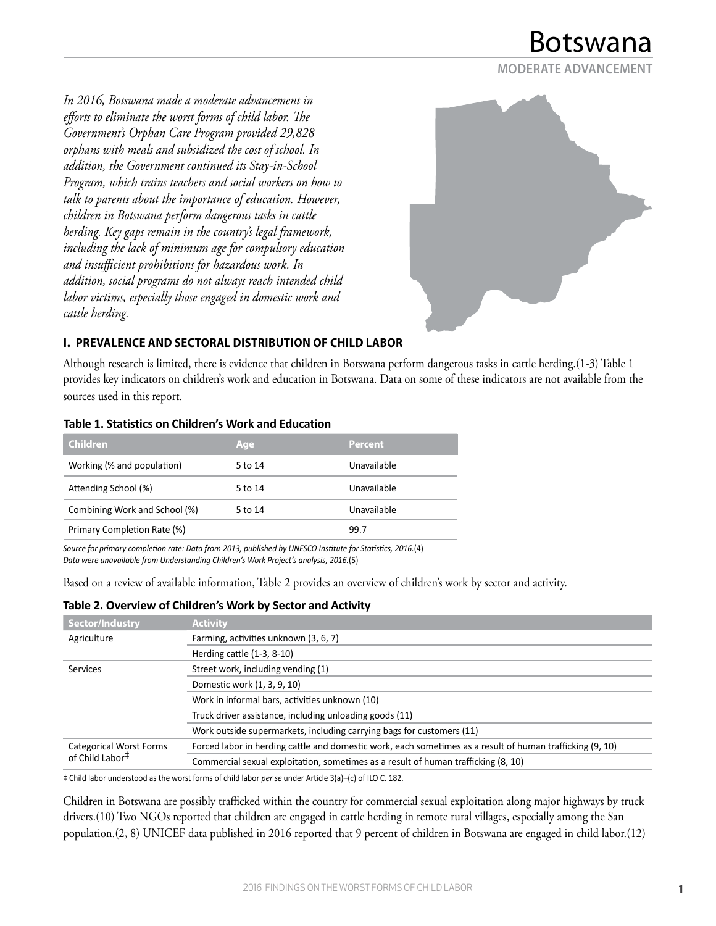**MODERATE ADVANCEMENT**

*In 2016, Botswana made a moderate advancement in efforts to eliminate the worst forms of child labor. The Government's Orphan Care Program provided 29,828 orphans with meals and subsidized the cost of school. In addition, the Government continued its Stay-in-School Program, which trains teachers and social workers on how to talk to parents about the importance of education. However, children in Botswana perform dangerous tasks in cattle herding. Key gaps remain in the country's legal framework, including the lack of minimum age for compulsory education and insufficient prohibitions for hazardous work. In addition, social programs do not always reach intended child labor victims, especially those engaged in domestic work and cattle herding.*



## **I. PREVALENCE AND SECTORAL DISTRIBUTION OF CHILD LABOR**

Although research is limited, there is evidence that children in Botswana perform dangerous tasks in cattle herding.(1-3) Table 1 provides key indicators on children's work and education in Botswana. Data on some of these indicators are not available from the sources used in this report.

| <b>Children</b>               | Age     | <b>Percent</b> |  |
|-------------------------------|---------|----------------|--|
| Working (% and population)    | 5 to 14 | Unavailable    |  |
| Attending School (%)          | 5 to 14 | Unavailable    |  |
| Combining Work and School (%) | 5 to 14 | Unavailable    |  |
| Primary Completion Rate (%)   |         | 99.7           |  |

#### **Table 1. Statistics on Children's Work and Education**

*Source for primary completion rate: Data from 2013, published by UNESCO Institute for Statistics, 2016.*(4) *Data were unavailable from Understanding Children's Work Project's analysis, 2016.*(5)

Based on a review of available information, Table 2 provides an overview of children's work by sector and activity.

#### **Table 2. Overview of Children's Work by Sector and Activity**

| <b>Activity</b>                                                                                           |
|-----------------------------------------------------------------------------------------------------------|
| Farming, activities unknown (3, 6, 7)                                                                     |
| Herding cattle $(1-3, 8-10)$                                                                              |
| Street work, including vending (1)                                                                        |
| Domestic work (1, 3, 9, 10)                                                                               |
| Work in informal bars, activities unknown (10)                                                            |
| Truck driver assistance, including unloading goods (11)                                                   |
| Work outside supermarkets, including carrying bags for customers (11)                                     |
| Forced labor in herding cattle and domestic work, each sometimes as a result of human trafficking (9, 10) |
| Commercial sexual exploitation, sometimes as a result of human trafficking (8, 10)                        |
|                                                                                                           |

‡ Child labor understood as the worst forms of child labor *per se* under Article 3(a)–(c) of ILO C. 182.

Children in Botswana are possibly trafficked within the country for commercial sexual exploitation along major highways by truck drivers.(10) Two NGOs reported that children are engaged in cattle herding in remote rural villages, especially among the San population.(2, 8) UNICEF data published in 2016 reported that 9 percent of children in Botswana are engaged in child labor.(12)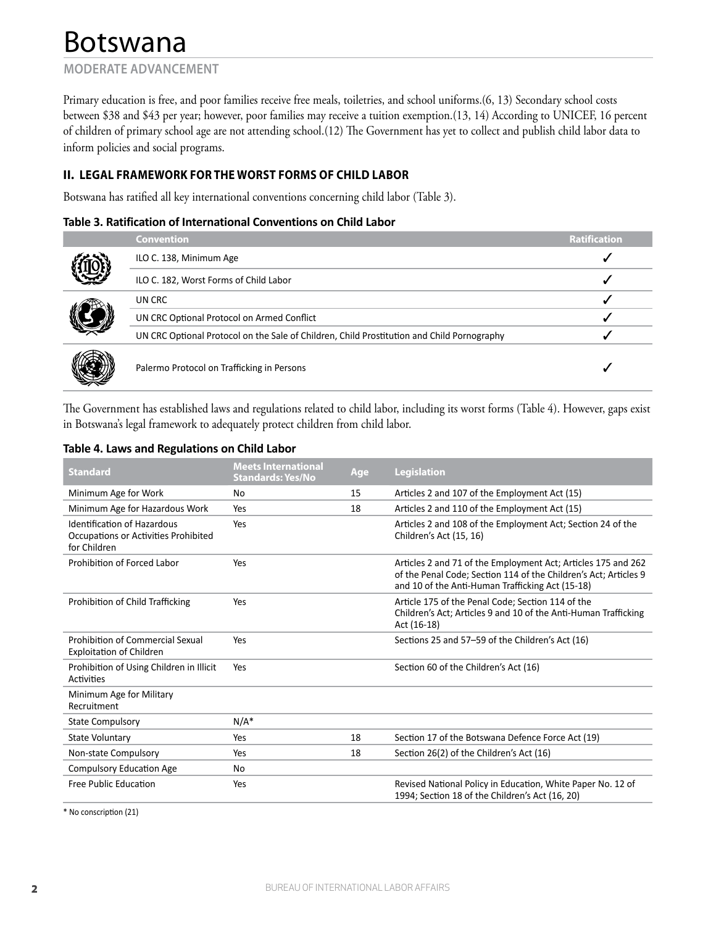## **MODERATE ADVANCEMENT**

Primary education is free, and poor families receive free meals, toiletries, and school uniforms.(6, 13) Secondary school costs between \$38 and \$43 per year; however, poor families may receive a tuition exemption.(13, 14) According to UNICEF, 16 percent of children of primary school age are not attending school.(12) The Government has yet to collect and publish child labor data to inform policies and social programs.

## **II. LEGAL FRAMEWORK FOR THE WORST FORMS OF CHILD LABOR**

Botswana has ratified all key international conventions concerning child labor (Table 3).

#### **Table 3. Ratification of International Conventions on Child Labor**

|  | <b>Convention</b>                                                                          | <b>Ratification</b> |
|--|--------------------------------------------------------------------------------------------|---------------------|
|  | ILO C. 138, Minimum Age                                                                    |                     |
|  | ILO C. 182, Worst Forms of Child Labor                                                     |                     |
|  | UN CRC                                                                                     |                     |
|  | UN CRC Optional Protocol on Armed Conflict                                                 |                     |
|  | UN CRC Optional Protocol on the Sale of Children, Child Prostitution and Child Pornography |                     |
|  | Palermo Protocol on Trafficking in Persons                                                 |                     |

The Government has established laws and regulations related to child labor, including its worst forms (Table 4). However, gaps exist in Botswana's legal framework to adequately protect children from child labor.

#### **Table 4. Laws and Regulations on Child Labor**

| <b>Standard</b>                                                                     | <b>Meets International</b><br><b>Standards: Yes/No</b> | Age | <b>Legislation</b>                                                                                                                                                                    |
|-------------------------------------------------------------------------------------|--------------------------------------------------------|-----|---------------------------------------------------------------------------------------------------------------------------------------------------------------------------------------|
| Minimum Age for Work                                                                | No                                                     | 15  | Articles 2 and 107 of the Employment Act (15)                                                                                                                                         |
| Minimum Age for Hazardous Work                                                      | Yes                                                    | 18  | Articles 2 and 110 of the Employment Act (15)                                                                                                                                         |
| Identification of Hazardous<br>Occupations or Activities Prohibited<br>for Children | Yes                                                    |     | Articles 2 and 108 of the Employment Act; Section 24 of the<br>Children's Act (15, 16)                                                                                                |
| Prohibition of Forced Labor                                                         | Yes                                                    |     | Articles 2 and 71 of the Employment Act; Articles 175 and 262<br>of the Penal Code; Section 114 of the Children's Act; Articles 9<br>and 10 of the Anti-Human Trafficking Act (15-18) |
| Prohibition of Child Trafficking                                                    | Yes                                                    |     | Article 175 of the Penal Code; Section 114 of the<br>Children's Act; Articles 9 and 10 of the Anti-Human Trafficking<br>Act (16-18)                                                   |
| Prohibition of Commercial Sexual<br><b>Exploitation of Children</b>                 | Yes                                                    |     | Sections 25 and 57-59 of the Children's Act (16)                                                                                                                                      |
| Prohibition of Using Children in Illicit<br>Activities                              | Yes                                                    |     | Section 60 of the Children's Act (16)                                                                                                                                                 |
| Minimum Age for Military<br>Recruitment                                             |                                                        |     |                                                                                                                                                                                       |
| <b>State Compulsory</b>                                                             | $N/A^*$                                                |     |                                                                                                                                                                                       |
| State Voluntary                                                                     | Yes                                                    | 18  | Section 17 of the Botswana Defence Force Act (19)                                                                                                                                     |
| Non-state Compulsory                                                                | Yes                                                    | 18  | Section 26(2) of the Children's Act (16)                                                                                                                                              |
| <b>Compulsory Education Age</b>                                                     | No                                                     |     |                                                                                                                                                                                       |
| Free Public Education                                                               | Yes                                                    |     | Revised National Policy in Education, White Paper No. 12 of<br>1994; Section 18 of the Children's Act (16, 20)                                                                        |

\* No conscription (21)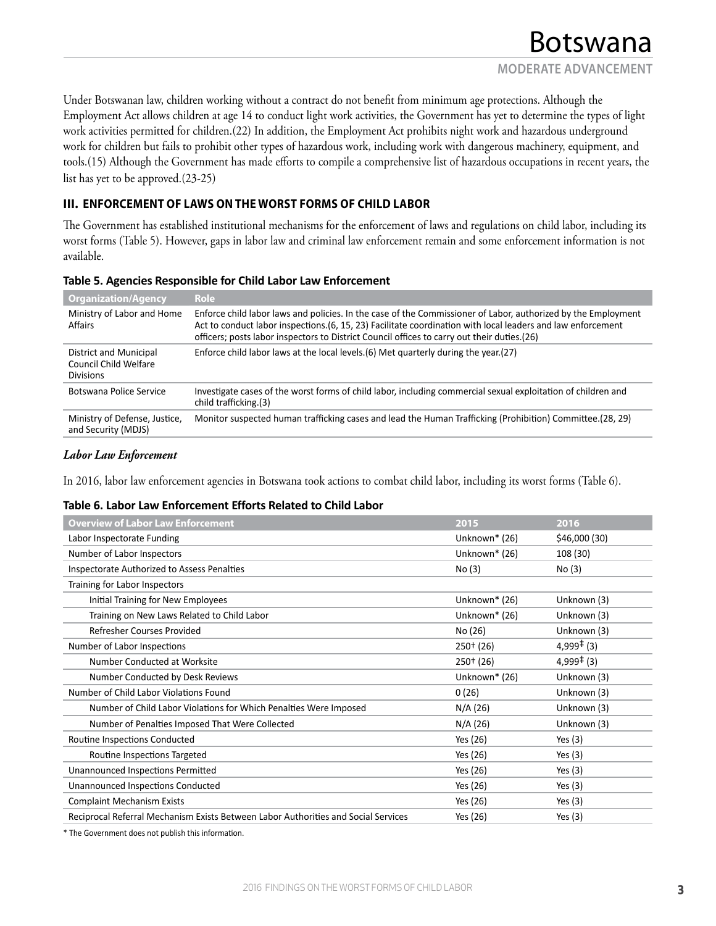Under Botswanan law, children working without a contract do not benefit from minimum age protections. Although the Employment Act allows children at age 14 to conduct light work activities, the Government has yet to determine the types of light work activities permitted for children.(22) In addition, the Employment Act prohibits night work and hazardous underground work for children but fails to prohibit other types of hazardous work, including work with dangerous machinery, equipment, and tools.(15) Although the Government has made efforts to compile a comprehensive list of hazardous occupations in recent years, the list has yet to be approved.(23-25)

### **III. ENFORCEMENT OF LAWS ON THE WORST FORMS OF CHILD LABOR**

The Government has established institutional mechanisms for the enforcement of laws and regulations on child labor, including its worst forms (Table 5). However, gaps in labor law and criminal law enforcement remain and some enforcement information is not available.

#### **Table 5. Agencies Responsible for Child Labor Law Enforcement**

| <b>Organization/Agency</b>                                          | Role                                                                                                                                                                                                                                                                                                                          |
|---------------------------------------------------------------------|-------------------------------------------------------------------------------------------------------------------------------------------------------------------------------------------------------------------------------------------------------------------------------------------------------------------------------|
| Ministry of Labor and Home<br>Affairs                               | Enforce child labor laws and policies. In the case of the Commissioner of Labor, authorized by the Employment<br>Act to conduct labor inspections. (6, 15, 23) Facilitate coordination with local leaders and law enforcement<br>officers; posts labor inspectors to District Council offices to carry out their duties. (26) |
| District and Municipal<br>Council Child Welfare<br><b>Divisions</b> | Enforce child labor laws at the local levels. (6) Met quarterly during the year. (27)                                                                                                                                                                                                                                         |
| Botswana Police Service                                             | Investigate cases of the worst forms of child labor, including commercial sexual exploitation of children and<br>child trafficking.(3)                                                                                                                                                                                        |
| Ministry of Defense, Justice,<br>and Security (MDJS)                | Monitor suspected human trafficking cases and lead the Human Trafficking (Prohibition) Committee.(28, 29)                                                                                                                                                                                                                     |

#### *Labor Law Enforcement*

In 2016, labor law enforcement agencies in Botswana took actions to combat child labor, including its worst forms (Table 6).

#### **Table 6. Labor Law Enforcement Efforts Related to Child Labor**

| <b>Overview of Labor Law Enforcement</b>                                           | 2015          | 2016                   |
|------------------------------------------------------------------------------------|---------------|------------------------|
| Labor Inspectorate Funding                                                         | Unknown* (26) | \$46,000(30)           |
| Number of Labor Inspectors                                                         | Unknown* (26) | 108 (30)               |
| Inspectorate Authorized to Assess Penalties                                        | No(3)         | No(3)                  |
| Training for Labor Inspectors                                                      |               |                        |
| Initial Training for New Employees                                                 | Unknown* (26) | Unknown (3)            |
| Training on New Laws Related to Child Labor                                        | Unknown* (26) | Unknown (3)            |
| Refresher Courses Provided                                                         | No (26)       | Unknown (3)            |
| Number of Labor Inspections                                                        | $250+ (26)$   | $4,999^{\ddagger}$ (3) |
| Number Conducted at Worksite                                                       | $250+ (26)$   | $4,999^{\ddagger}$ (3) |
| Number Conducted by Desk Reviews                                                   | Unknown* (26) | Unknown (3)            |
| Number of Child Labor Violations Found                                             | 0(26)         | Unknown (3)            |
| Number of Child Labor Violations for Which Penalties Were Imposed                  | N/A (26)      | Unknown (3)            |
| Number of Penalties Imposed That Were Collected                                    | N/A (26)      | Unknown (3)            |
| Routine Inspections Conducted                                                      | Yes (26)      | Yes $(3)$              |
| Routine Inspections Targeted                                                       | Yes (26)      | Yes $(3)$              |
| Unannounced Inspections Permitted                                                  | Yes (26)      | Yes $(3)$              |
| <b>Unannounced Inspections Conducted</b>                                           | Yes (26)      | Yes $(3)$              |
| <b>Complaint Mechanism Exists</b>                                                  | Yes (26)      | Yes $(3)$              |
| Reciprocal Referral Mechanism Exists Between Labor Authorities and Social Services | Yes (26)      | Yes $(3)$              |

\* The Government does not publish this information.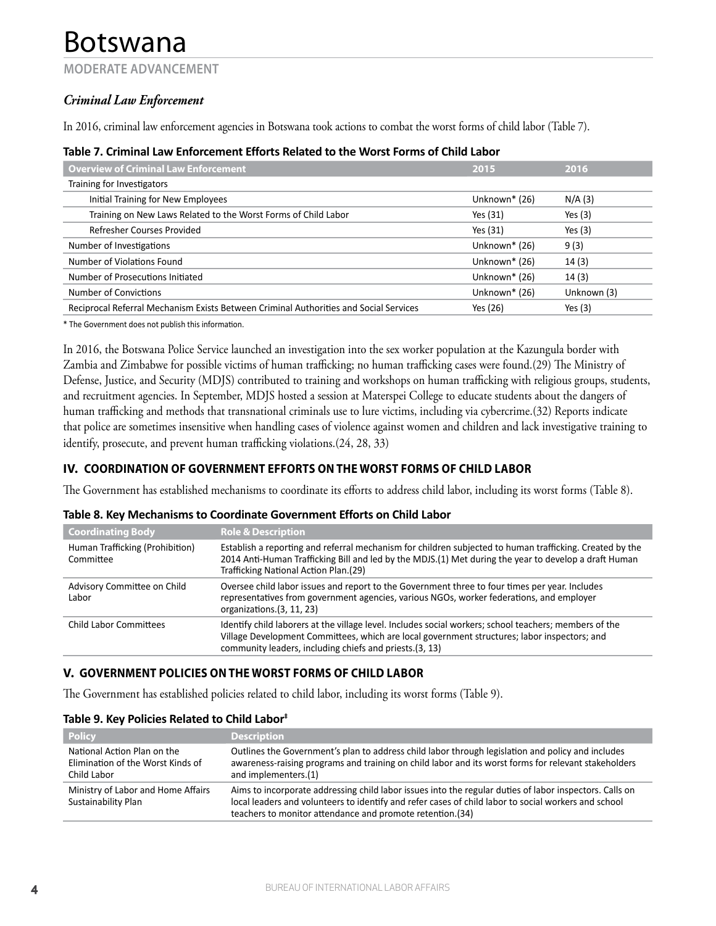### **MODERATE ADVANCEMENT**

## *Criminal Law Enforcement*

In 2016, criminal law enforcement agencies in Botswana took actions to combat the worst forms of child labor (Table 7).

| <b>Overview of Criminal Law Enforcement</b>                                           | 2015          | 2016        |
|---------------------------------------------------------------------------------------|---------------|-------------|
| Training for Investigators                                                            |               |             |
| Initial Training for New Employees                                                    | Unknown* (26) | N/A(3)      |
| Training on New Laws Related to the Worst Forms of Child Labor                        | Yes (31)      | Yes $(3)$   |
| Refresher Courses Provided                                                            | Yes (31)      | Yes $(3)$   |
| Number of Investigations                                                              | Unknown* (26) | 9(3)        |
| Number of Violations Found                                                            | Unknown* (26) | 14(3)       |
| Number of Prosecutions Initiated                                                      | Unknown* (26) | 14(3)       |
| Number of Convictions                                                                 | Unknown* (26) | Unknown (3) |
| Reciprocal Referral Mechanism Exists Between Criminal Authorities and Social Services | Yes (26)      | Yes $(3)$   |

#### **Table 7. Criminal Law Enforcement Efforts Related to the Worst Forms of Child Labor**

\* The Government does not publish this information.

In 2016, the Botswana Police Service launched an investigation into the sex worker population at the Kazungula border with Zambia and Zimbabwe for possible victims of human trafficking; no human trafficking cases were found.(29) The Ministry of Defense, Justice, and Security (MDJS) contributed to training and workshops on human trafficking with religious groups, students, and recruitment agencies. In September, MDJS hosted a session at Materspei College to educate students about the dangers of human trafficking and methods that transnational criminals use to lure victims, including via cybercrime.(32) Reports indicate that police are sometimes insensitive when handling cases of violence against women and children and lack investigative training to identify, prosecute, and prevent human trafficking violations.(24, 28, 33)

## **IV. COORDINATION OF GOVERNMENT EFFORTS ON THE WORST FORMS OF CHILD LABOR**

The Government has established mechanisms to coordinate its efforts to address child labor, including its worst forms (Table 8).

#### **Table 8. Key Mechanisms to Coordinate Government Efforts on Child Labor**

| <b>Coordinating Body</b>                     | <b>Role &amp; Description</b>                                                                                                                                                                                                                                     |
|----------------------------------------------|-------------------------------------------------------------------------------------------------------------------------------------------------------------------------------------------------------------------------------------------------------------------|
| Human Trafficking (Prohibition)<br>Committee | Establish a reporting and referral mechanism for children subjected to human trafficking. Created by the<br>2014 Anti-Human Trafficking Bill and led by the MDJS.(1) Met during the year to develop a draft Human<br>Trafficking National Action Plan.(29)        |
| Advisory Committee on Child<br>Labor         | Oversee child labor issues and report to the Government three to four times per year. Includes<br>representatives from government agencies, various NGOs, worker federations, and employer<br>organizations.(3, 11, 23)                                           |
| Child Labor Committees                       | Identify child laborers at the village level. Includes social workers; school teachers; members of the<br>Village Development Committees, which are local government structures; labor inspectors; and<br>community leaders, including chiefs and priests.(3, 13) |

## **V. GOVERNMENT POLICIES ON THE WORST FORMS OF CHILD LABOR**

The Government has established policies related to child labor, including its worst forms (Table 9).

#### **Table 9. Key Policies Related to Child Labor‡**

| <b>Policy</b>                                                                   | <b>Description</b>                                                                                                                                                                                                                                                           |
|---------------------------------------------------------------------------------|------------------------------------------------------------------------------------------------------------------------------------------------------------------------------------------------------------------------------------------------------------------------------|
| National Action Plan on the<br>Elimination of the Worst Kinds of<br>Child Labor | Outlines the Government's plan to address child labor through legislation and policy and includes<br>awareness-raising programs and training on child labor and its worst forms for relevant stakeholders<br>and implementers.(1)                                            |
| Ministry of Labor and Home Affairs<br>Sustainability Plan                       | Aims to incorporate addressing child labor issues into the regular duties of labor inspectors. Calls on<br>local leaders and volunteers to identify and refer cases of child labor to social workers and school<br>teachers to monitor attendance and promote retention.(34) |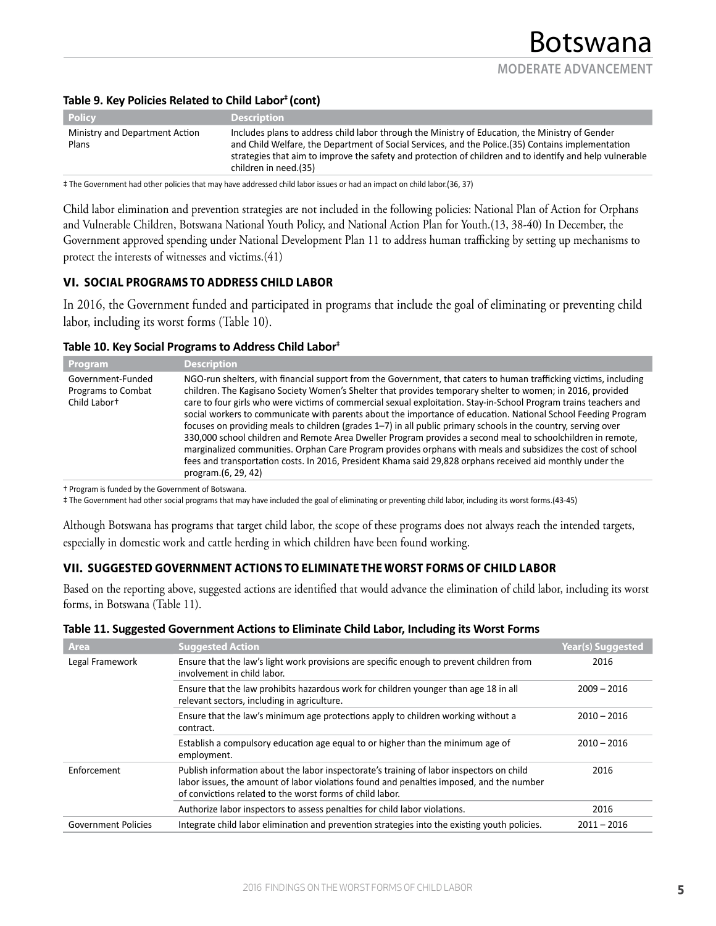#### **Table 9. Key Policies Related to Child Labor‡ (cont)**

| <b>Policy</b>                           | <b>Description</b>                                                                                                                                                                                                                                                                                                                         |
|-----------------------------------------|--------------------------------------------------------------------------------------------------------------------------------------------------------------------------------------------------------------------------------------------------------------------------------------------------------------------------------------------|
| Ministry and Department Action<br>Plans | Includes plans to address child labor through the Ministry of Education, the Ministry of Gender<br>and Child Welfare, the Department of Social Services, and the Police. (35) Contains implementation<br>strategies that aim to improve the safety and protection of children and to identify and help vulnerable<br>children in need.(35) |

‡ The Government had other policies that may have addressed child labor issues or had an impact on child labor.(36, 37)

Child labor elimination and prevention strategies are not included in the following policies: National Plan of Action for Orphans and Vulnerable Children, Botswana National Youth Policy, and National Action Plan for Youth.(13, 38-40) In December, the Government approved spending under National Development Plan 11 to address human trafficking by setting up mechanisms to protect the interests of witnesses and victims.(41)

## **VI. SOCIAL PROGRAMS TO ADDRESS CHILD LABOR**

In 2016, the Government funded and participated in programs that include the goal of eliminating or preventing child labor, including its worst forms (Table 10).

#### **Table 10. Key Social Programs to Address Child Labor‡**

| <b>Program</b>                                                 | <b>Description</b>                                                                                                                                                                                                                                                                                                                                                                                                                                                                                                                                                                                                                                                                                                                                                                                                                                                                                                                                            |
|----------------------------------------------------------------|---------------------------------------------------------------------------------------------------------------------------------------------------------------------------------------------------------------------------------------------------------------------------------------------------------------------------------------------------------------------------------------------------------------------------------------------------------------------------------------------------------------------------------------------------------------------------------------------------------------------------------------------------------------------------------------------------------------------------------------------------------------------------------------------------------------------------------------------------------------------------------------------------------------------------------------------------------------|
| Government-Funded<br><b>Programs to Combat</b><br>Child Labort | NGO-run shelters, with financial support from the Government, that caters to human trafficking victims, including<br>children. The Kagisano Society Women's Shelter that provides temporary shelter to women; in 2016, provided<br>care to four girls who were victims of commercial sexual exploitation. Stay-in-School Program trains teachers and<br>social workers to communicate with parents about the importance of education. National School Feeding Program<br>focuses on providing meals to children (grades $1-7$ ) in all public primary schools in the country, serving over<br>330,000 school children and Remote Area Dweller Program provides a second meal to schoolchildren in remote,<br>marginalized communities. Orphan Care Program provides orphans with meals and subsidizes the cost of school<br>fees and transportation costs. In 2016, President Khama said 29,828 orphans received aid monthly under the<br>program.(6, 29, 42) |

† Program is funded by the Government of Botswana.

‡ The Government had other social programs that may have included the goal of eliminating or preventing child labor, including its worst forms.(43-45)

Although Botswana has programs that target child labor, the scope of these programs does not always reach the intended targets, especially in domestic work and cattle herding in which children have been found working.

## **VII. SUGGESTED GOVERNMENT ACTIONS TO ELIMINATE THE WORST FORMS OF CHILD LABOR**

Based on the reporting above, suggested actions are identified that would advance the elimination of child labor, including its worst forms, in Botswana (Table 11).

#### **Table 11. Suggested Government Actions to Eliminate Child Labor, Including its Worst Forms**

| <b>Area</b>                | <b>Suggested Action</b>                                                                                                                                                                                                                           | <b>Year(s) Suggested</b> |
|----------------------------|---------------------------------------------------------------------------------------------------------------------------------------------------------------------------------------------------------------------------------------------------|--------------------------|
| Legal Framework            | Ensure that the law's light work provisions are specific enough to prevent children from<br>involvement in child labor.                                                                                                                           | 2016                     |
|                            | Ensure that the law prohibits hazardous work for children younger than age 18 in all<br>relevant sectors, including in agriculture.                                                                                                               | $2009 - 2016$            |
|                            | Ensure that the law's minimum age protections apply to children working without a<br>contract.                                                                                                                                                    | $2010 - 2016$            |
|                            | Establish a compulsory education age equal to or higher than the minimum age of<br>employment.                                                                                                                                                    | $2010 - 2016$            |
| Enforcement                | Publish information about the labor inspectorate's training of labor inspectors on child<br>labor issues, the amount of labor violations found and penalties imposed, and the number<br>of convictions related to the worst forms of child labor. | 2016                     |
|                            | Authorize labor inspectors to assess penalties for child labor violations.                                                                                                                                                                        | 2016                     |
| <b>Government Policies</b> | Integrate child labor elimination and prevention strategies into the existing youth policies.                                                                                                                                                     | $2011 - 2016$            |